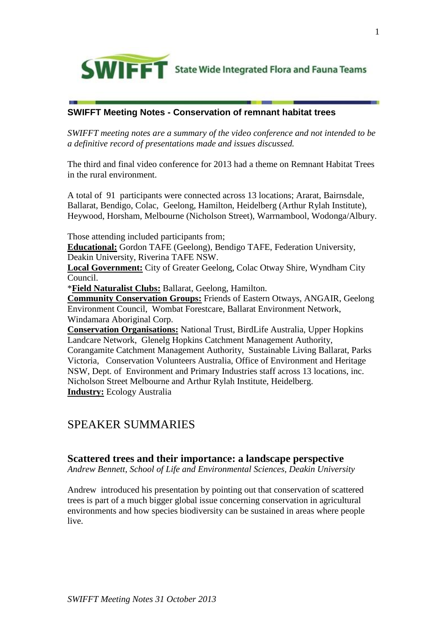

# **SWIFFT Meeting Notes - Conservation of remnant habitat trees**

*SWIFFT meeting notes are a summary of the video conference and not intended to be a definitive record of presentations made and issues discussed.*

The third and final video conference for 2013 had a theme on Remnant Habitat Trees in the rural environment.

A total of 91 participants were connected across 13 locations; Ararat, Bairnsdale, Ballarat, Bendigo, Colac, Geelong, Hamilton, Heidelberg (Arthur Rylah Institute), Heywood, Horsham, Melbourne (Nicholson Street), Warrnambool, Wodonga/Albury.

Those attending included participants from;

**Educational:** Gordon TAFE (Geelong), Bendigo TAFE, Federation University, Deakin University, Riverina TAFE NSW.

**Local Government:** City of Greater Geelong, Colac Otway Shire, Wyndham City Council.

\***Field Naturalist Clubs:** Ballarat, Geelong, Hamilton.

**Community Conservation Groups:** Friends of Eastern Otways, ANGAIR, Geelong Environment Council, Wombat Forestcare, Ballarat Environment Network, Windamara Aboriginal Corp.

**Conservation Organisations:** National Trust, BirdLife Australia, Upper Hopkins Landcare Network, Glenelg Hopkins Catchment Management Authority, Corangamite Catchment Management Authority, Sustainable Living Ballarat, Parks Victoria, Conservation Volunteers Australia, Office of Environment and Heritage NSW, Dept. of Environment and Primary Industries staff across 13 locations, inc. Nicholson Street Melbourne and Arthur Rylah Institute, Heidelberg. **Industry:** Ecology Australia

# SPEAKER SUMMARIES

### **Scattered trees and their importance: a landscape perspective**

*Andrew Bennett, School of Life and Environmental Sciences, Deakin University*

Andrew introduced his presentation by pointing out that conservation of scattered trees is part of a much bigger global issue concerning conservation in agricultural environments and how species biodiversity can be sustained in areas where people live.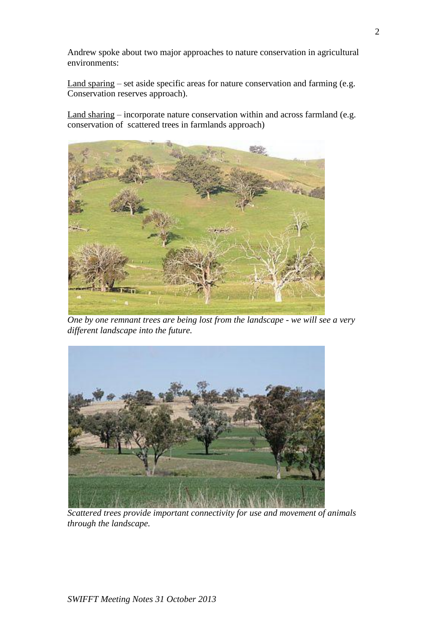Andrew spoke about two major approaches to nature conservation in agricultural environments:

Land sparing – set aside specific areas for nature conservation and farming (e.g. Conservation reserves approach).

Land sharing – incorporate nature conservation within and across farmland (e.g. conservation of scattered trees in farmlands approach)



*One by one remnant trees are being lost from the landscape - we will see a very different landscape into the future.* 



*Scattered trees provide important connectivity for use and movement of animals through the landscape.*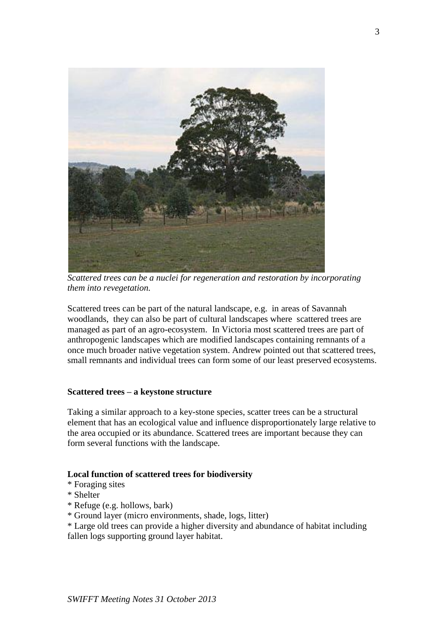

*Scattered trees can be a nuclei for regeneration and restoration by incorporating them into revegetation.*

Scattered trees can be part of the natural landscape, e.g. in areas of Savannah woodlands, they can also be part of cultural landscapes where scattered trees are managed as part of an agro-ecosystem. In Victoria most scattered trees are part of anthropogenic landscapes which are modified landscapes containing remnants of a once much broader native vegetation system. Andrew pointed out that scattered trees, small remnants and individual trees can form some of our least preserved ecosystems.

### **Scattered trees – a keystone structure**

Taking a similar approach to a key-stone species, scatter trees can be a structural element that has an ecological value and influence disproportionately large relative to the area occupied or its abundance. Scattered trees are important because they can form several functions with the landscape.

#### **Local function of scattered trees for biodiversity**

- \* Foraging sites
- \* Shelter
- \* Refuge (e.g. hollows, bark)
- \* Ground layer (micro environments, shade, logs, litter)
- \* Large old trees can provide a higher diversity and abundance of habitat including fallen logs supporting ground layer habitat.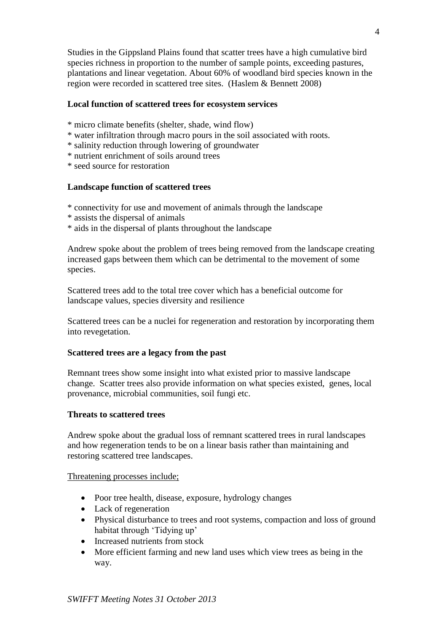Studies in the Gippsland Plains found that scatter trees have a high cumulative bird species richness in proportion to the number of sample points, exceeding pastures, plantations and linear vegetation. About 60% of woodland bird species known in the region were recorded in scattered tree sites. (Haslem & Bennett 2008)

### **Local function of scattered trees for ecosystem services**

- \* micro climate benefits (shelter, shade, wind flow)
- \* water infiltration through macro pours in the soil associated with roots.
- \* salinity reduction through lowering of groundwater
- \* nutrient enrichment of soils around trees
- \* seed source for restoration

### **Landscape function of scattered trees**

- \* connectivity for use and movement of animals through the landscape
- \* assists the dispersal of animals
- \* aids in the dispersal of plants throughout the landscape

Andrew spoke about the problem of trees being removed from the landscape creating increased gaps between them which can be detrimental to the movement of some species.

Scattered trees add to the total tree cover which has a beneficial outcome for landscape values, species diversity and resilience

Scattered trees can be a nuclei for regeneration and restoration by incorporating them into revegetation.

#### **Scattered trees are a legacy from the past**

Remnant trees show some insight into what existed prior to massive landscape change. Scatter trees also provide information on what species existed, genes, local provenance, microbial communities, soil fungi etc.

#### **Threats to scattered trees**

Andrew spoke about the gradual loss of remnant scattered trees in rural landscapes and how regeneration tends to be on a linear basis rather than maintaining and restoring scattered tree landscapes.

#### Threatening processes include;

- Poor tree health, disease, exposure, hydrology changes
- Lack of regeneration
- Physical disturbance to trees and root systems, compaction and loss of ground habitat through 'Tidying up'
- Increased nutrients from stock
- More efficient farming and new land uses which view trees as being in the way.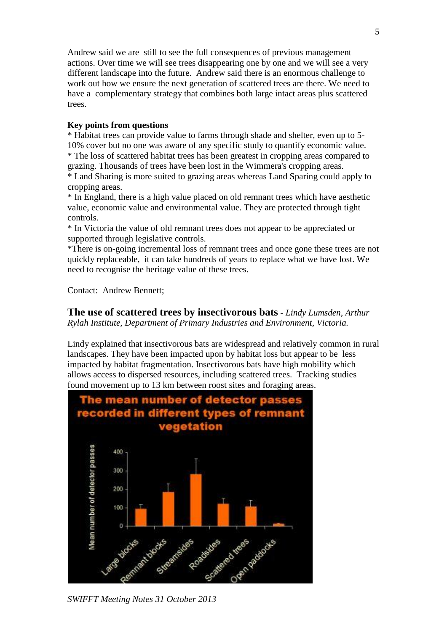Andrew said we are still to see the full consequences of previous management actions. Over time we will see trees disappearing one by one and we will see a very different landscape into the future. Andrew said there is an enormous challenge to work out how we ensure the next generation of scattered trees are there. We need to have a complementary strategy that combines both large intact areas plus scattered trees.

### **Key points from questions**

\* Habitat trees can provide value to farms through shade and shelter, even up to 5- 10% cover but no one was aware of any specific study to quantify economic value. \* The loss of scattered habitat trees has been greatest in cropping areas compared to grazing. Thousands of trees have been lost in the Wimmera's cropping areas.

\* Land Sharing is more suited to grazing areas whereas Land Sparing could apply to cropping areas.

\* In England, there is a high value placed on old remnant trees which have aesthetic value, economic value and environmental value. They are protected through tight controls.

\* In Victoria the value of old remnant trees does not appear to be appreciated or supported through legislative controls.

\*There is on-going incremental loss of remnant trees and once gone these trees are not quickly replaceable, it can take hundreds of years to replace what we have lost. We need to recognise the heritage value of these trees.

Contact: Andrew Bennett;

### **The use of scattered trees by insectivorous bats** - *Lindy Lumsden, Arthur Rylah Institute, Department of Primary Industries and Environment, Victoria.*

Lindy explained that insectivorous bats are widespread and relatively common in rural landscapes. They have been impacted upon by habitat loss but appear to be less impacted by habitat fragmentation. Insectivorous bats have high mobility which allows access to dispersed resources, including scattered trees. Tracking studies found movement up to 13 km between roost sites and foraging areas.



*SWIFFT Meeting Notes 31 October 2013*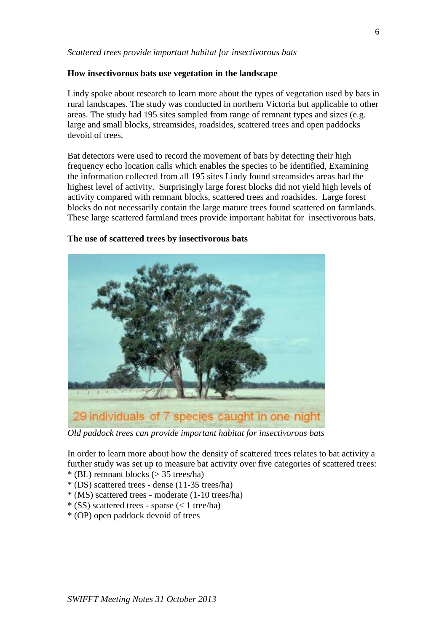### *Scattered trees provide important habitat for insectivorous bats*

### **How insectivorous bats use vegetation in the landscape**

Lindy spoke about research to learn more about the types of vegetation used by bats in rural landscapes. The study was conducted in northern Victoria but applicable to other areas. The study had 195 sites sampled from range of remnant types and sizes (e.g. large and small blocks, streamsides, roadsides, scattered trees and open paddocks devoid of trees.

Bat detectors were used to record the movement of bats by detecting their high frequency echo location calls which enables the species to be identified, Examining the information collected from all 195 sites Lindy found streamsides areas had the highest level of activity. Surprisingly large forest blocks did not yield high levels of activity compared with remnant blocks, scattered trees and roadsides. Large forest blocks do not necessarily contain the large mature trees found scattered on farmlands. These large scattered farmland trees provide important habitat for insectivorous bats.

### **The use of scattered trees by insectivorous bats**



*Old paddock trees can provide important habitat for insectivorous bats*

In order to learn more about how the density of scattered trees relates to bat activity a further study was set up to measure bat activity over five categories of scattered trees:

- \* (BL) remnant blocks (> 35 trees/ha)
- \* (DS) scattered trees dense (11-35 trees/ha)
- \* (MS) scattered trees moderate (1-10 trees/ha)
- $*(SS)$  scattered trees sparse (< 1 tree/ha)
- \* (OP) open paddock devoid of trees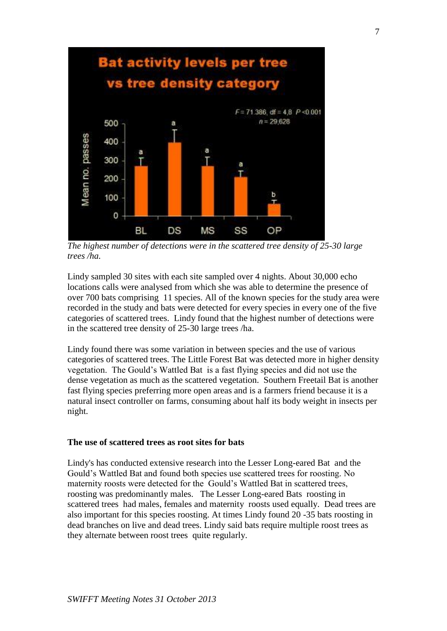

*The highest number of detections were in the scattered tree density of 25-30 large trees /ha.*

Lindy sampled 30 sites with each site sampled over 4 nights. About 30,000 echo locations calls were analysed from which she was able to determine the presence of over 700 bats comprising 11 species. All of the known species for the study area were recorded in the study and bats were detected for every species in every one of the five categories of scattered trees. Lindy found that the highest number of detections were in the scattered tree density of 25-30 large trees /ha.

Lindy found there was some variation in between species and the use of various categories of scattered trees. The Little Forest Bat was detected more in higher density vegetation. The Gould's Wattled Bat is a fast flying species and did not use the dense vegetation as much as the scattered vegetation. Southern Freetail Bat is another fast flying species preferring more open areas and is a farmers friend because it is a natural insect controller on farms, consuming about half its body weight in insects per night.

#### **The use of scattered trees as root sites for bats**

Lindy's has conducted extensive research into the Lesser Long-eared Bat and the Gould's Wattled Bat and found both species use scattered trees for roosting. No maternity roosts were detected for the Gould's Wattled Bat in scattered trees, roosting was predominantly males. The Lesser Long-eared Bats roosting in scattered trees had males, females and maternity roosts used equally. Dead trees are also important for this species roosting. At times Lindy found 20 -35 bats roosting in dead branches on live and dead trees. Lindy said bats require multiple roost trees as they alternate between roost trees quite regularly.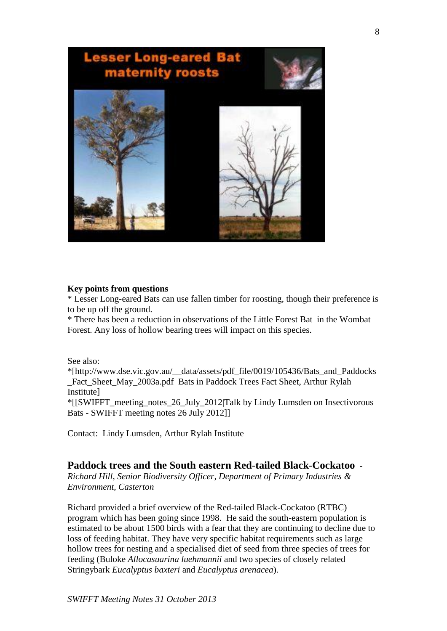

### **Key points from questions**

\* Lesser Long-eared Bats can use fallen timber for roosting, though their preference is to be up off the ground.

\* There has been a reduction in observations of the Little Forest Bat in the Wombat Forest. Any loss of hollow bearing trees will impact on this species.

See also:

\*[http://www.dse.vic.gov.au/\_\_data/assets/pdf\_file/0019/105436/Bats\_and\_Paddocks Fact Sheet May 2003a.pdf Bats in Paddock Trees Fact Sheet, Arthur Rylah Institute]

\*[[SWIFFT\_meeting\_notes\_26\_July\_2012|Talk by Lindy Lumsden on Insectivorous Bats - SWIFFT meeting notes 26 July 2012]]

Contact: Lindy Lumsden, Arthur Rylah Institute

### **Paddock trees and the South eastern Red-tailed Black-Cockatoo** -

*Richard Hill, Senior Biodiversity Officer, Department of Primary Industries & Environment, Casterton* 

Richard provided a brief overview of the Red-tailed Black-Cockatoo (RTBC) program which has been going since 1998. He said the south-eastern population is estimated to be about 1500 birds with a fear that they are continuing to decline due to loss of feeding habitat. They have very specific habitat requirements such as large hollow trees for nesting and a specialised diet of seed from three species of trees for feeding (Buloke *Allocasuarina luehmannii* and two species of closely related Stringybark *Eucalyptus baxteri* and *Eucalyptus arenacea*).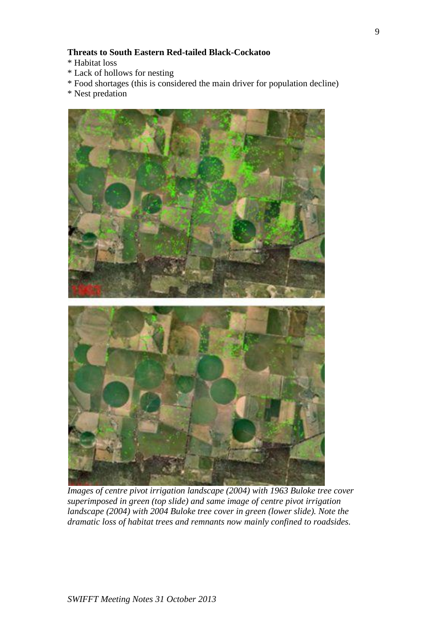### **Threats to South Eastern Red-tailed Black-Cockatoo**

- \* Habitat loss
- \* Lack of hollows for nesting
- \* Food shortages (this is considered the main driver for population decline)
- \* Nest predation



*Images of centre pivot irrigation landscape (2004) with 1963 Buloke tree cover superimposed in green (top slide) and same image of centre pivot irrigation landscape (2004) with 2004 Buloke tree cover in green (lower slide). Note the dramatic loss of habitat trees and remnants now mainly confined to roadsides.*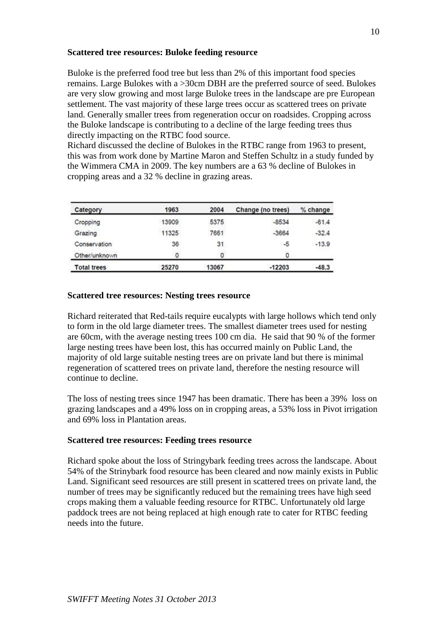### **Scattered tree resources: Buloke feeding resource**

Buloke is the preferred food tree but less than 2% of this important food species remains. Large Bulokes with a >30cm DBH are the preferred source of seed. Bulokes are very slow growing and most large Buloke trees in the landscape are pre European settlement. The vast majority of these large trees occur as scattered trees on private land. Generally smaller trees from regeneration occur on roadsides. Cropping across the Buloke landscape is contributing to a decline of the large feeding trees thus directly impacting on the RTBC food source.

Richard discussed the decline of Bulokes in the RTBC range from 1963 to present, this was from work done by Martine Maron and Steffen Schultz in a study funded by the Wimmera CMA in 2009. The key numbers are a 63 % decline of Bulokes in cropping areas and a 32 % decline in grazing areas.

| Category           | 1963  | 2004  | Change (no trees) | % change |
|--------------------|-------|-------|-------------------|----------|
| Cropping           | 13909 | 5375  | $-8534$           | $-61.4$  |
| Grazing            | 11325 | 7661  | $-3664$           | $-32.4$  |
| Conservation       | 36    | 31    | $-5$              | $-13.9$  |
| Other/unknown      | 0     | 0     | ٥                 |          |
| <b>Total trees</b> | 25270 | 13067 | $-12203$          | $-48.3$  |

### **Scattered tree resources: Nesting trees resource**

Richard reiterated that Red-tails require eucalypts with large hollows which tend only to form in the old large diameter trees. The smallest diameter trees used for nesting are 60cm, with the average nesting trees 100 cm dia. He said that 90 % of the former large nesting trees have been lost, this has occurred mainly on Public Land, the majority of old large suitable nesting trees are on private land but there is minimal regeneration of scattered trees on private land, therefore the nesting resource will continue to decline.

The loss of nesting trees since 1947 has been dramatic. There has been a 39% loss on grazing landscapes and a 49% loss on in cropping areas, a 53% loss in Pivot irrigation and 69% loss in Plantation areas.

### **Scattered tree resources: Feeding trees resource**

Richard spoke about the loss of Stringybark feeding trees across the landscape. About 54% of the Strinybark food resource has been cleared and now mainly exists in Public Land. Significant seed resources are still present in scattered trees on private land, the number of trees may be significantly reduced but the remaining trees have high seed crops making them a valuable feeding resource for RTBC. Unfortunately old large paddock trees are not being replaced at high enough rate to cater for RTBC feeding needs into the future.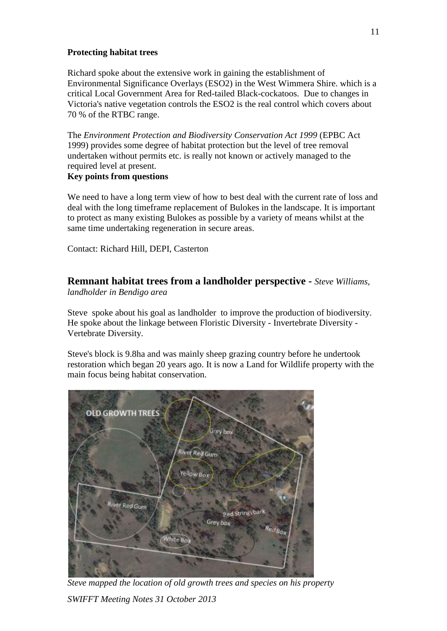### **Protecting habitat trees**

Richard spoke about the extensive work in gaining the establishment of Environmental Significance Overlays (ESO2) in the West Wimmera Shire. which is a critical Local Government Area for Red-tailed Black-cockatoos. Due to changes in Victoria's native vegetation controls the ESO2 is the real control which covers about 70 % of the RTBC range.

The *Environment Protection and Biodiversity Conservation Act 1999* (EPBC Act 1999) provides some degree of habitat protection but the level of tree removal undertaken without permits etc. is really not known or actively managed to the required level at present.

### **Key points from questions**

We need to have a long term view of how to best deal with the current rate of loss and deal with the long timeframe replacement of Bulokes in the landscape. It is important to protect as many existing Bulokes as possible by a variety of means whilst at the same time undertaking regeneration in secure areas.

Contact: Richard Hill, DEPI, Casterton

## **Remnant habitat trees from a landholder perspective -** *Steve Williams,*

*landholder in Bendigo area* 

Steve spoke about his goal as landholder to improve the production of biodiversity. He spoke about the linkage between Floristic Diversity - Invertebrate Diversity - Vertebrate Diversity.

Steve's block is 9.8ha and was mainly sheep grazing country before he undertook restoration which began 20 years ago. It is now a Land for Wildlife property with the main focus being habitat conservation.



*Steve mapped the location of old growth trees and species on his property*

*SWIFFT Meeting Notes 31 October 2013*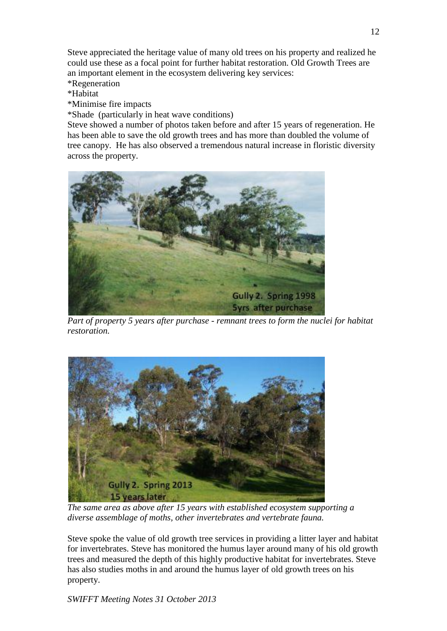Steve appreciated the heritage value of many old trees on his property and realized he could use these as a focal point for further habitat restoration. Old Growth Trees are an important element in the ecosystem delivering key services:

\*Regeneration

\*Habitat

\*Minimise fire impacts

\*Shade (particularly in heat wave conditions)

Steve showed a number of photos taken before and after 15 years of regeneration. He has been able to save the old growth trees and has more than doubled the volume of tree canopy. He has also observed a tremendous natural increase in floristic diversity across the property.



*Part of property 5 years after purchase - remnant trees to form the nuclei for habitat restoration.*



*The same area as above after 15 years with established ecosystem supporting a diverse assemblage of moths, other invertebrates and vertebrate fauna.*

Steve spoke the value of old growth tree services in providing a litter layer and habitat for invertebrates. Steve has monitored the humus layer around many of his old growth trees and measured the depth of this highly productive habitat for invertebrates. Steve has also studies moths in and around the humus layer of old growth trees on his property.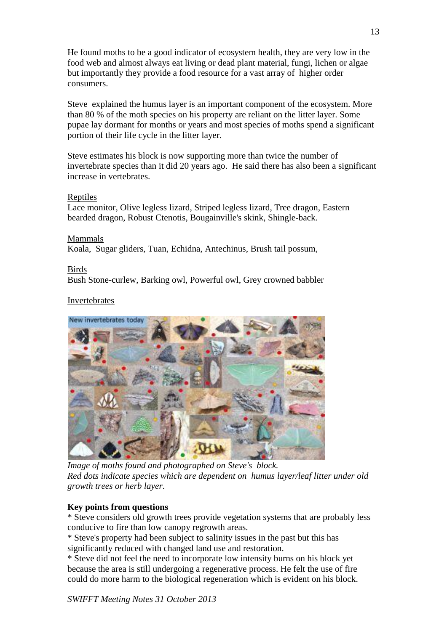He found moths to be a good indicator of ecosystem health, they are very low in the food web and almost always eat living or dead plant material, fungi, lichen or algae but importantly they provide a food resource for a vast array of higher order consumers.

Steve explained the humus layer is an important component of the ecosystem. More than 80 % of the moth species on his property are reliant on the litter layer. Some pupae lay dormant for months or years and most species of moths spend a significant portion of their life cycle in the litter layer.

Steve estimates his block is now supporting more than twice the number of invertebrate species than it did 20 years ago. He said there has also been a significant increase in vertebrates.

### **Reptiles**

Lace monitor, Olive legless lizard, Striped legless lizard, Tree dragon, Eastern bearded dragon, Robust Ctenotis, Bougainville's skink, Shingle-back.

### Mammals

Koala, Sugar gliders, Tuan, Echidna, Antechinus, Brush tail possum,

### Birds

Bush Stone-curlew, Barking owl, Powerful owl, Grey crowned babbler

### Invertebrates



*Image of moths found and photographed on Steve's block. Red dots indicate species which are dependent on humus layer/leaf litter under old growth trees or herb layer*.

### **Key points from questions**

\* Steve considers old growth trees provide vegetation systems that are probably less conducive to fire than low canopy regrowth areas.

\* Steve's property had been subject to salinity issues in the past but this has significantly reduced with changed land use and restoration.

\* Steve did not feel the need to incorporate low intensity burns on his block yet because the area is still undergoing a regenerative process. He felt the use of fire could do more harm to the biological regeneration which is evident on his block.